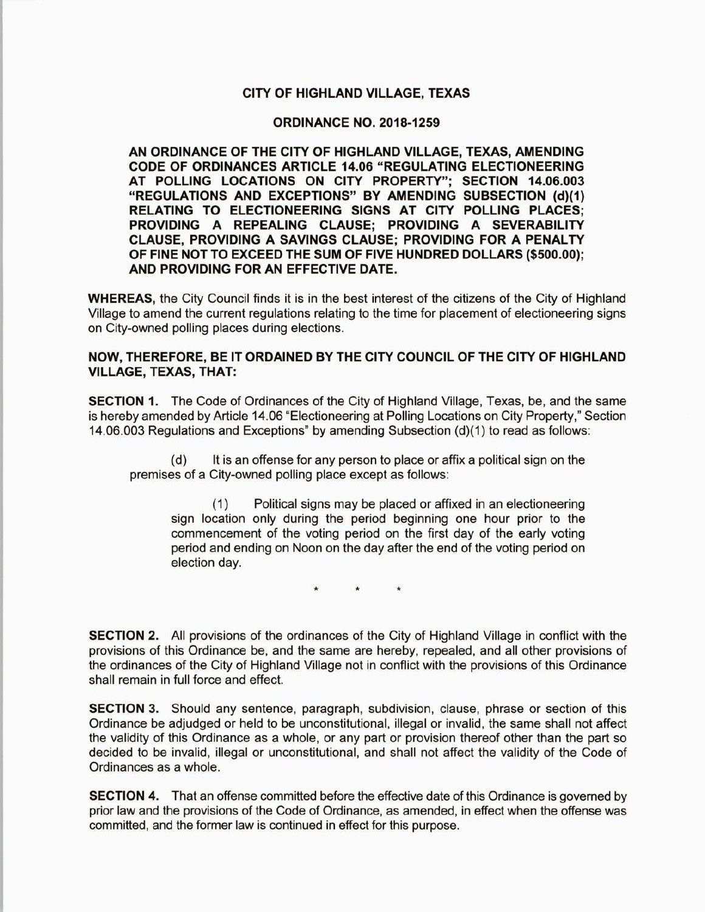## CITY OF HIGHLAND VILLAGE, TEXAS

## **ORDINANCE NO. 2018-1259**

AN ORDINANCE OF THE CITY OF HIGHLAND VILLAGE, TEXAS, AMENDING CODE OF ORDINANCES ARTICLE 14. 06 " REGULATING ELECTIONEERING AT POLLING LOCATIONS ON CITY PROPERTY"; SECTION 14.06.003 "REGULATIONS AND EXCEPTIONS" BY AMENDING SUBSECTION (d)(1) RELATING TO ELECTIONEERING SIGNS AT CITY POLLING PLACES; PROVIDING A REPEALING CLAUSE; PROVIDING A SEVERABILITY CLAUSE, PROVIDING A SAVINGS CLAUSE; PROVIDING FOR A PENALTY OF FINE NOT TO EXCEED THE SUM OF FIVE HUNDRED DOLLARS (\$500.00); AND PROVIDING FOR AN EFFECTIVE DATE.

WHEREAS, the City Council finds it is in the best interest of the citizens of the City of Highland Village to amend the current regulations relating to the time for placement of electioneering signs on City-owned polling places during elections.

## NOW, THEREFORE, BE IT ORDAINED BY THE CITY COUNCIL OF THE CITY OF HIGHLAND VILLAGE, TEXAS, THAT:

SECTION 1. The Code of Ordinances of the City of Highland Village, Texas, be, and the same is hereby amended by Article 14.06 "Electioneering at Polling Locations on City Property," Section 14.06.003 Regulations and Exceptions" by amending Subsection (d)(1) to read as follows:

d) It is an offense for any person to place or affix a political sign on the premises of a City-owned polling place except as follows:

1) Political signs may be placed or affixed in an electioneering sign location only during the period beginning one hour prior to the commencement of the voting period on the first day of the early voting period and ending on Noon on the day after the end of the voting period on election day.

SECTION 2. All provisions of the ordinances of the City of Highland Village in conflict with the provisions of this Ordinance be, and the same are hereby, repealed, and all other provisions of the ordinances of the City of Highland Village not in conflict with the provisions of this Ordinance shall remain in full force and effect.

**SECTION 3.** Should any sentence, paragraph, subdivision, clause, phrase or section of this Ordinance be adjudged or held to be unconstitutional, illegal or invalid, the same shall not affect the validity of this Ordinance as a whole, or any part or provision thereof other than the part so decided to be invalid, illegal or unconstitutional, and shall not affect the validity of the Code of Ordinances as a whole.

**SECTION 4.** That an offense committed before the effective date of this Ordinance is governed by prior law and the provisions of the Code of Ordinance, as amended, in effect when the offense was committed, and the former law is continued in effect for this purpose.